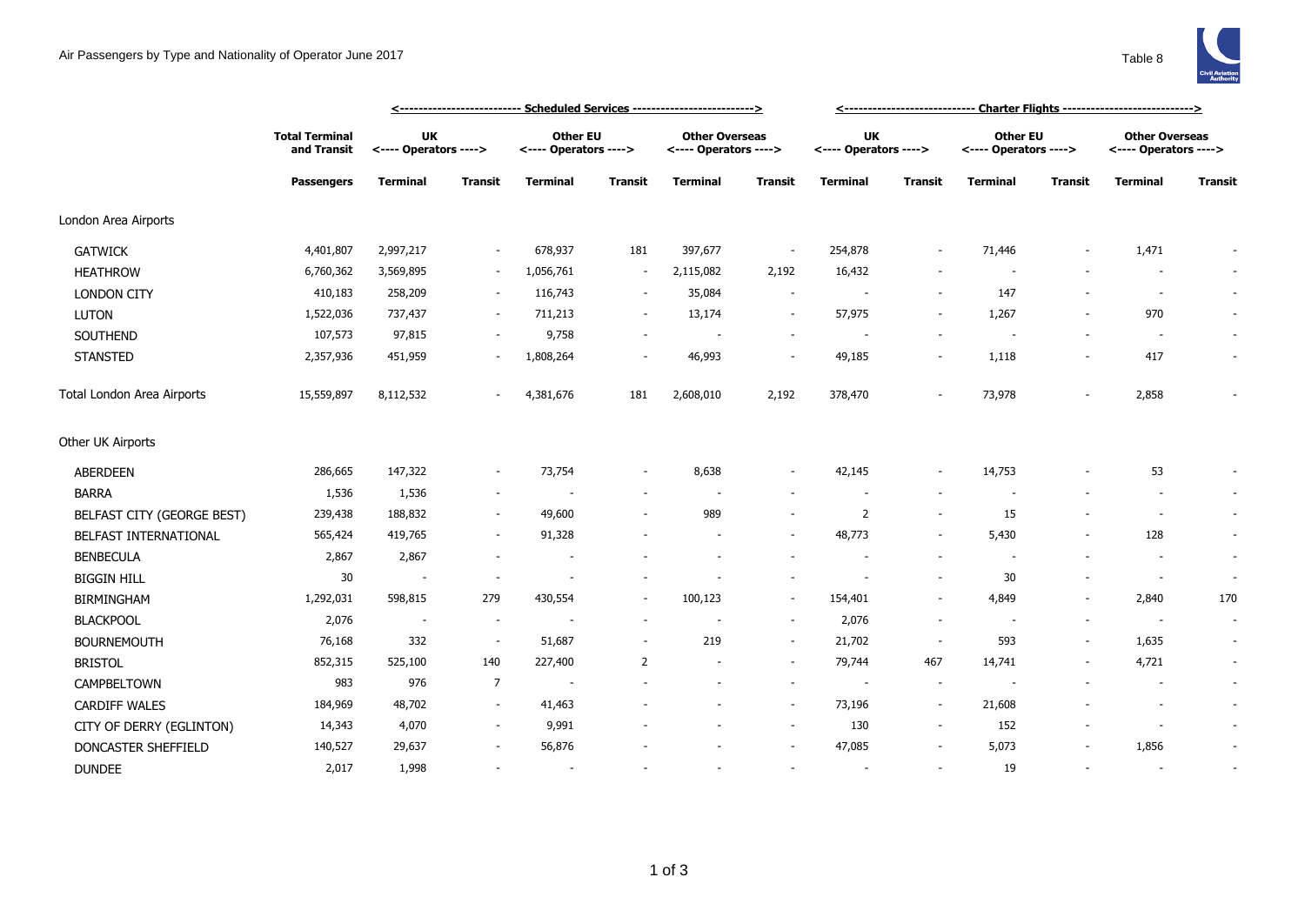|                            | <b>Total Terminal</b><br>and Transit<br><b>Passengers</b> | <-------------------------- Scheduled Services -------------------------> |                          |                                          |                          |                                                |                          | <----------------------------- Charter Flights ---------------------------> |                          |                                          |         |                                                |                |
|----------------------------|-----------------------------------------------------------|---------------------------------------------------------------------------|--------------------------|------------------------------------------|--------------------------|------------------------------------------------|--------------------------|-----------------------------------------------------------------------------|--------------------------|------------------------------------------|---------|------------------------------------------------|----------------|
|                            |                                                           | <b>UK</b><br><---- Operators ---->                                        |                          | <b>Other EU</b><br><---- Operators ----> |                          | <b>Other Overseas</b><br><---- Operators ----> |                          | UK<br><---- Operators ---->                                                 |                          | <b>Other EU</b><br><---- Operators ----> |         | <b>Other Overseas</b><br><---- Operators ----> |                |
|                            |                                                           | <b>Terminal</b>                                                           | <b>Transit</b>           | Terminal                                 | <b>Transit</b>           | <b>Terminal</b>                                | <b>Transit</b>           | <b>Terminal</b>                                                             | <b>Transit</b>           | <b>Terminal</b>                          | Transit | <b>Terminal</b>                                | <b>Transit</b> |
| London Area Airports       |                                                           |                                                                           |                          |                                          |                          |                                                |                          |                                                                             |                          |                                          |         |                                                |                |
| <b>GATWICK</b>             | 4,401,807                                                 | 2,997,217                                                                 | ٠                        | 678,937                                  | 181                      | 397,677                                        | $\overline{\phantom{a}}$ | 254,878                                                                     | $\sim$                   | 71,446                                   |         | 1,471                                          |                |
| <b>HEATHROW</b>            | 6,760,362                                                 | 3,569,895                                                                 | $\sim$                   | 1,056,761                                | $\sim$                   | 2,115,082                                      | 2,192                    | 16,432                                                                      |                          | $\overline{\phantom{a}}$                 |         | $\overline{a}$                                 |                |
| <b>LONDON CITY</b>         | 410,183                                                   | 258,209                                                                   | $\overline{\phantom{a}}$ | 116,743                                  | $\sim$                   | 35,084                                         | $\overline{\phantom{a}}$ |                                                                             | $\overline{\phantom{a}}$ | 147                                      |         | $\overline{\phantom{a}}$                       | $\sim$         |
| LUTON                      | 1,522,036                                                 | 737,437                                                                   | ٠                        | 711,213                                  | $\overline{\phantom{a}}$ | 13,174                                         | $\overline{\phantom{a}}$ | 57,975                                                                      | $\sim$                   | 1,267                                    |         | 970                                            | $\sim$         |
| SOUTHEND                   | 107,573                                                   | 97,815                                                                    | $\sim$                   | 9,758                                    | $\overline{\phantom{a}}$ |                                                | $\overline{\phantom{a}}$ | $\sim$                                                                      | $\sim$                   | $\sim$                                   |         | $\overline{\phantom{a}}$                       |                |
| <b>STANSTED</b>            | 2,357,936                                                 | 451,959                                                                   | ۰                        | 1,808,264                                |                          | 46,993                                         | $\overline{\phantom{a}}$ | 49,185                                                                      |                          | 1,118                                    |         | 417                                            |                |
| Total London Area Airports | 15,559,897                                                | 8,112,532                                                                 |                          | 4,381,676                                | 181                      | 2,608,010                                      | 2,192                    | 378,470                                                                     | $\overline{\phantom{a}}$ | 73,978                                   |         | 2,858                                          |                |
| Other UK Airports          |                                                           |                                                                           |                          |                                          |                          |                                                |                          |                                                                             |                          |                                          |         |                                                |                |
| ABERDEEN                   | 286,665                                                   | 147,322                                                                   |                          | 73,754                                   |                          | 8,638                                          |                          | 42,145                                                                      |                          | 14,753                                   |         | 53                                             |                |
| <b>BARRA</b>               | 1,536                                                     | 1,536                                                                     | $\sim$                   |                                          |                          |                                                |                          |                                                                             |                          |                                          |         |                                                | $\sim$         |
| BELFAST CITY (GEORGE BEST) | 239,438                                                   | 188,832                                                                   | $\sim$                   | 49,600                                   |                          | 989                                            | $\overline{\phantom{a}}$ | $\overline{2}$                                                              | $\overline{\phantom{a}}$ | 15                                       |         | $\overline{a}$                                 | $\sim$         |
| BELFAST INTERNATIONAL      | 565,424                                                   | 419,765                                                                   | ٠                        | 91,328                                   |                          |                                                | $\overline{\phantom{a}}$ | 48,773                                                                      |                          | 5,430                                    |         | 128                                            | $\sim$         |
| <b>BENBECULA</b>           | 2,867                                                     | 2,867                                                                     |                          |                                          |                          |                                                |                          |                                                                             | $\overline{\phantom{a}}$ | $\sim$                                   |         |                                                | $\sim$         |
| <b>BIGGIN HILL</b>         | 30                                                        | $\overline{\phantom{a}}$                                                  | $\overline{\phantom{a}}$ |                                          |                          |                                                | $\overline{\phantom{a}}$ |                                                                             | $\overline{\phantom{a}}$ | 30                                       |         | $\sim$                                         | $\sim$         |
| <b>BIRMINGHAM</b>          | 1,292,031                                                 | 598,815                                                                   | 279                      | 430,554                                  | $\overline{\phantom{a}}$ | 100,123                                        | $\overline{\phantom{a}}$ | 154,401                                                                     | $\overline{\phantom{a}}$ | 4,849                                    |         | 2,840                                          | 170            |
| <b>BLACKPOOL</b>           | 2,076                                                     | $\sim$                                                                    | $\overline{\phantom{a}}$ |                                          | $\overline{\phantom{a}}$ |                                                | $\overline{\phantom{a}}$ | 2,076                                                                       | $\overline{\phantom{a}}$ | $\overline{\phantom{a}}$                 |         | $\sim$                                         | $\sim$         |
| <b>BOURNEMOUTH</b>         | 76,168                                                    | 332                                                                       | $\sim$                   | 51,687                                   | $\overline{\phantom{a}}$ | 219                                            | $\overline{\phantom{a}}$ | 21,702                                                                      | $\overline{\phantom{a}}$ | 593                                      | $\sim$  | 1,635                                          | $\sim$         |
| <b>BRISTOL</b>             | 852,315                                                   | 525,100                                                                   | 140                      | 227,400                                  | 2                        |                                                | $\overline{\phantom{a}}$ | 79,744                                                                      | 467                      | 14,741                                   |         | 4,721                                          | $\sim$         |
| CAMPBELTOWN                | 983                                                       | 976                                                                       | $\overline{7}$           |                                          |                          |                                                | $\overline{\phantom{a}}$ | $\overline{\phantom{a}}$                                                    | $\overline{\phantom{a}}$ |                                          |         | $\overline{a}$                                 | $\sim$         |
| <b>CARDIFF WALES</b>       | 184,969                                                   | 48,702                                                                    | $\sim$                   | 41,463                                   |                          |                                                | $\sim$                   | 73,196                                                                      | $\sim$                   | 21,608                                   |         | $\overline{\phantom{a}}$                       | $\sim$         |
| CITY OF DERRY (EGLINTON)   | 14,343                                                    | 4,070                                                                     | $\sim$                   | 9,991                                    |                          |                                                | $\overline{\phantom{a}}$ | 130                                                                         | $\overline{\phantom{a}}$ | 152                                      |         |                                                | $\sim$         |
| DONCASTER SHEFFIELD        | 140,527                                                   | 29,637                                                                    |                          | 56,876                                   |                          |                                                |                          | 47,085                                                                      |                          | 5,073                                    |         | 1,856                                          |                |
| <b>DUNDEE</b>              | 2,017                                                     | 1,998                                                                     |                          |                                          |                          |                                                |                          |                                                                             | $\overline{\phantom{a}}$ | 19                                       |         | $\sim$                                         | $\sim$         |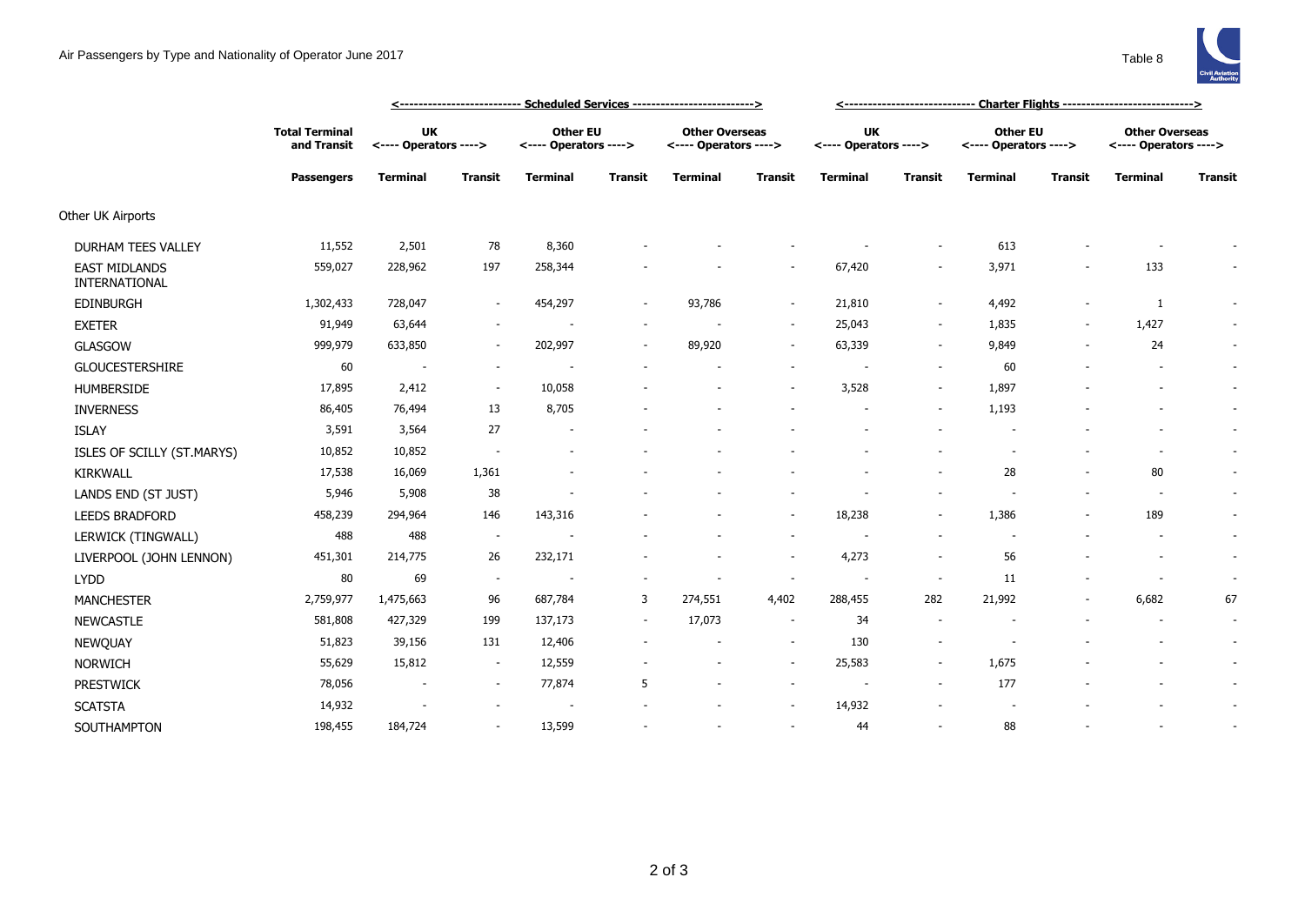|                                       |                                                           |                                    |                          | <u>&lt;-------------------------- Scheduled Services -------------------------&gt;</u> | <u>&lt;----------------------------- Charter Flights ----------------------------&gt;</u> |                                                |                          |                                    |                          |                                          |                |                                                |                |
|---------------------------------------|-----------------------------------------------------------|------------------------------------|--------------------------|----------------------------------------------------------------------------------------|-------------------------------------------------------------------------------------------|------------------------------------------------|--------------------------|------------------------------------|--------------------------|------------------------------------------|----------------|------------------------------------------------|----------------|
|                                       | <b>Total Terminal</b><br>and Transit<br><b>Passengers</b> | <b>UK</b><br><---- Operators ----> |                          | <b>Other EU</b><br><---- Operators ---->                                               |                                                                                           | <b>Other Overseas</b><br><---- Operators ----> |                          | <b>UK</b><br><---- Operators ----> |                          | <b>Other EU</b><br><---- Operators ----> |                | <b>Other Overseas</b><br><---- Operators ----> |                |
|                                       |                                                           | <b>Terminal</b>                    | <b>Transit</b>           | <b>Terminal</b>                                                                        | <b>Transit</b>                                                                            | <b>Terminal</b>                                | Transit                  | <b>Terminal</b>                    | <b>Transit</b>           | <b>Terminal</b>                          | <b>Transit</b> | <b>Terminal</b>                                | <b>Transit</b> |
| Other UK Airports                     |                                                           |                                    |                          |                                                                                        |                                                                                           |                                                |                          |                                    |                          |                                          |                |                                                |                |
| DURHAM TEES VALLEY                    | 11,552                                                    | 2,501                              | 78                       | 8,360                                                                                  |                                                                                           |                                                |                          |                                    | $\sim$                   | 613                                      |                |                                                |                |
| <b>EAST MIDLANDS</b><br>INTERNATIONAL | 559,027                                                   | 228,962                            | 197                      | 258,344                                                                                |                                                                                           |                                                | ٠                        | 67,420                             | $\sim$                   | 3,971                                    |                | 133                                            |                |
| <b>EDINBURGH</b>                      | 1,302,433                                                 | 728,047                            |                          | 454,297                                                                                | $\overline{\phantom{a}}$                                                                  | 93,786                                         | ٠                        | 21,810                             | $\sim$                   | 4,492                                    |                | 1                                              | $\sim$         |
| <b>EXETER</b>                         | 91,949                                                    | 63,644                             | $\overline{\phantom{a}}$ |                                                                                        | $\sim$                                                                                    |                                                | $\sim$                   | 25,043                             | $\sim$                   | 1,835                                    | $\sim$         | 1,427                                          | $\sim$         |
| <b>GLASGOW</b>                        | 999,979                                                   | 633,850                            | ٠                        | 202,997                                                                                | $\sim$                                                                                    | 89,920                                         | ٠                        | 63,339                             | $\sim$                   | 9,849                                    |                | 24                                             | $\sim$         |
| <b>GLOUCESTERSHIRE</b>                | 60                                                        | $\overline{\phantom{a}}$           | ٠                        |                                                                                        | ٠                                                                                         |                                                | $\overline{\phantom{a}}$ |                                    | $\sim$                   | 60                                       |                |                                                | $\sim$         |
| HUMBERSIDE                            | 17,895                                                    | 2,412                              | $\sim$                   | 10,058                                                                                 |                                                                                           |                                                | $\overline{\phantom{a}}$ | 3,528                              | $\sim$                   | 1,897                                    |                | $\overline{\phantom{a}}$                       | $\sim$         |
| <b>INVERNESS</b>                      | 86,405                                                    | 76,494                             | 13                       | 8,705                                                                                  |                                                                                           |                                                |                          |                                    | $\sim$                   | 1,193                                    |                | $\overline{\phantom{a}}$                       | $\sim$         |
| <b>ISLAY</b>                          | 3,591                                                     | 3,564                              | 27                       | $\overline{\phantom{a}}$                                                               |                                                                                           |                                                |                          |                                    |                          | $\overline{\phantom{a}}$                 |                | $\overline{\phantom{a}}$                       | $\sim$         |
| ISLES OF SCILLY (ST.MARYS)            | 10,852                                                    | 10,852                             | $\overline{\phantom{a}}$ |                                                                                        |                                                                                           |                                                |                          |                                    |                          | $\overline{\phantom{a}}$                 |                | $\overline{a}$                                 | $\sim$         |
| <b>KIRKWALL</b>                       | 17,538                                                    | 16,069                             | 1,361                    |                                                                                        |                                                                                           |                                                |                          |                                    |                          | 28                                       |                | 80                                             | $\sim$         |
| LANDS END (ST JUST)                   | 5,946                                                     | 5,908                              | 38                       |                                                                                        |                                                                                           |                                                |                          |                                    |                          |                                          |                | $\overline{\phantom{a}}$                       | $\sim$         |
| <b>LEEDS BRADFORD</b>                 | 458,239                                                   | 294,964                            | 146                      | 143,316                                                                                |                                                                                           |                                                | $\sim$                   | 18,238                             | $\sim$                   | 1,386                                    |                | 189                                            | $\sim$         |
| LERWICK (TINGWALL)                    | 488                                                       | 488                                | $\sim$                   |                                                                                        |                                                                                           |                                                | $\overline{\phantom{a}}$ |                                    |                          |                                          |                |                                                | $\sim$         |
| LIVERPOOL (JOHN LENNON)               | 451,301                                                   | 214,775                            | 26                       | 232,171                                                                                |                                                                                           |                                                | $\sim$                   | 4,273                              | $\overline{\phantom{a}}$ | 56                                       |                | $\overline{\phantom{a}}$                       | $\sim$         |
| <b>LYDD</b>                           | 80                                                        | 69                                 | $\sim$                   |                                                                                        |                                                                                           |                                                | ٠                        |                                    |                          | 11                                       |                |                                                | $\sim$         |
| <b>MANCHESTER</b>                     | 2,759,977                                                 | 1,475,663                          | 96                       | 687,784                                                                                | 3                                                                                         | 274,551                                        | 4,402                    | 288,455                            | 282                      | 21,992                                   |                | 6,682                                          | 67             |
| <b>NEWCASTLE</b>                      | 581,808                                                   | 427,329                            | 199                      | 137,173                                                                                | $\overline{\phantom{a}}$                                                                  | 17,073                                         | $\sim$                   | 34                                 |                          |                                          |                | $\overline{\phantom{a}}$                       | $\sim$         |
| NEWQUAY                               | 51,823                                                    | 39,156                             | 131                      | 12,406                                                                                 | $\sim$                                                                                    |                                                | $\overline{\phantom{a}}$ | 130                                | $\sim$                   | $\overline{\phantom{a}}$                 |                | $\overline{\phantom{a}}$                       | $\sim$         |
| <b>NORWICH</b>                        | 55,629                                                    | 15,812                             | $\sim$                   | 12,559                                                                                 |                                                                                           |                                                | $\sim$                   | 25,583                             | $\sim$                   | 1,675                                    |                | $\overline{\phantom{a}}$                       | $\sim$         |
| <b>PRESTWICK</b>                      | 78,056                                                    | $\overline{\phantom{a}}$           | $\sim$                   | 77,874                                                                                 | 5                                                                                         |                                                | $\sim$                   | $\overline{\phantom{a}}$           | $\sim$                   | 177                                      |                |                                                | $\sim$         |
| <b>SCATSTA</b>                        | 14,932                                                    | $\overline{\phantom{a}}$           |                          |                                                                                        |                                                                                           |                                                | $\sim$                   | 14,932                             |                          |                                          |                |                                                | $\sim$         |
| SOUTHAMPTON                           | 198,455                                                   | 184,724                            |                          | 13,599                                                                                 |                                                                                           |                                                | ٠                        | 44                                 |                          | 88                                       |                | $\overline{\phantom{a}}$                       |                |